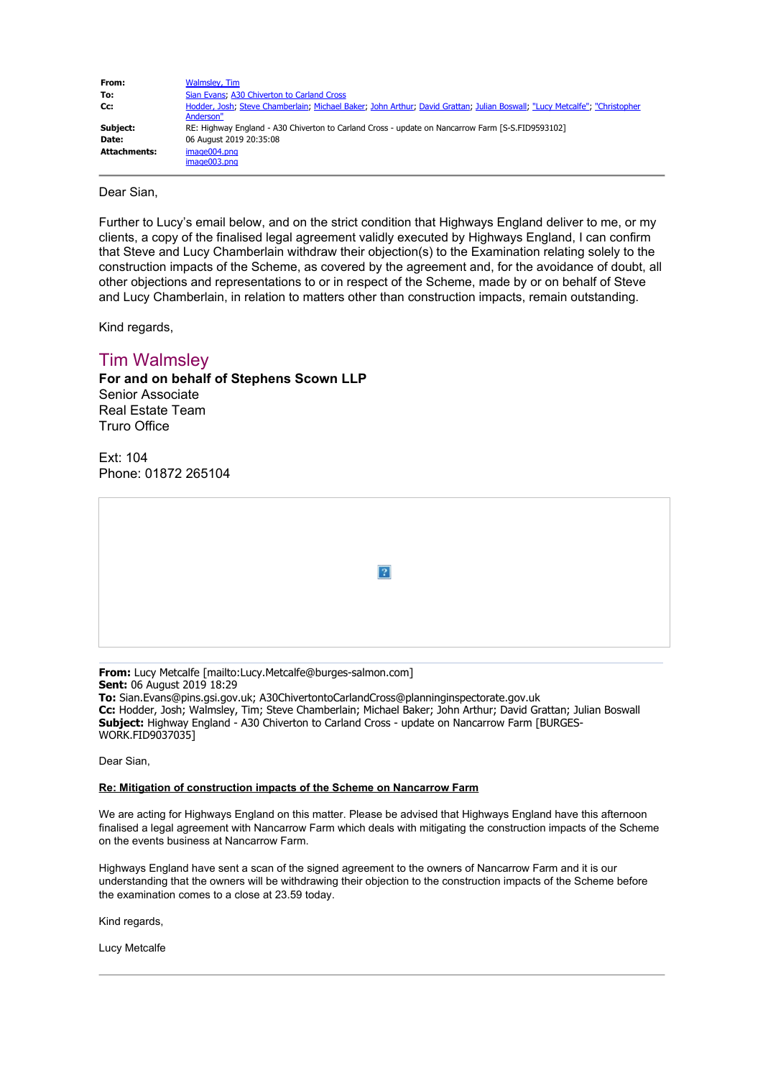| From:               | Walmsley, Tim                                                                                                             |  |
|---------------------|---------------------------------------------------------------------------------------------------------------------------|--|
| To:                 | Sian Evans; A30 Chiverton to Carland Cross                                                                                |  |
| Cc:                 | Hodder, Josh; Steve Chamberlain; Michael Baker; John Arthur; David Grattan; Julian Boswall; "Lucy Metcalfe"; "Christopher |  |
|                     | Anderson"                                                                                                                 |  |
| Subject:            | RE: Highway England - A30 Chiverton to Carland Cross - update on Nancarrow Farm [S-S.FID9593102]                          |  |
| Date:               | 06 August 2019 20:35:08                                                                                                   |  |
| <b>Attachments:</b> | image004.png                                                                                                              |  |
|                     | image003.png                                                                                                              |  |

Dear Sian,

Further to Lucy's email below, and on the strict condition that Highways England deliver to me, or my clients, a copy of the finalised legal agreement validly executed by Highways England, I can confirm that Steve and Lucy Chamberlain withdraw their objection(s) to the Examination relating solely to the construction impacts of the Scheme, as covered by the agreement and, for the avoidance of doubt, all other objections and representations to or in respect of the Scheme, made by or on behalf of Steve and Lucy Chamberlain, in relation to matters other than construction impacts, remain outstanding.

Kind regards,

## Tim Walmsley

**For and on behalf of Stephens Scown LLP** Senior Associate Real Estate Team Truro Office

Ext: 104 Phone: 01872 265104

|  | $\boxed{?}$ |  |
|--|-------------|--|
|  |             |  |

**From:** Lucy Metcalfe [mailto:Lucy.Metcalfe@burges-salmon.com] **Sent:** 06 August 2019 18:29 **To:** Sian.Evans@pins.gsi.gov.uk; A30ChivertontoCarlandCross@planninginspectorate.gov.uk **Cc:** Hodder, Josh; Walmsley, Tim; Steve Chamberlain; Michael Baker; John Arthur; David Grattan; Julian Boswall **Subject:** Highway England - A30 Chiverton to Carland Cross - update on Nancarrow Farm [BURGES-WORK.FID9037035]

Dear Sian,

## **Re: Mitigation of construction impacts of the Scheme on Nancarrow Farm**

We are acting for Highways England on this matter. Please be advised that Highways England have this afternoon finalised a legal agreement with Nancarrow Farm which deals with mitigating the construction impacts of the Scheme on the events business at Nancarrow Farm.

Highways England have sent a scan of the signed agreement to the owners of Nancarrow Farm and it is our understanding that the owners will be withdrawing their objection to the construction impacts of the Scheme before the examination comes to a close at 23.59 today.

Kind regards,

Lucy Metcalfe